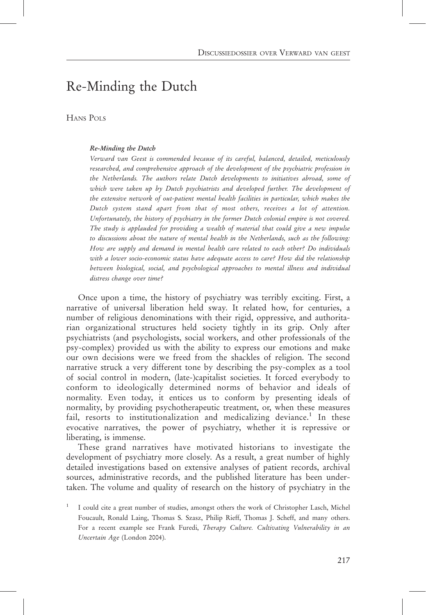## Re-Minding the Dutch

HANS POLS

### Re-Minding the Dutch

Verward van Geest is commended because of its careful, balanced, detailed, meticulously researched, and comprehensive approach of the development of the psychiatric profession in the Netherlands. The authors relate Dutch developments to initiatives abroad, some of which were taken up by Dutch psychiatrists and developed further. The development of the extensive network of out-patient mental health facilities in particular, which makes the Dutch system stand apart from that of most others, receives a lot of attention. Unfortunately, the history of psychiatry in the former Dutch colonial empire is not covered. The study is applauded for providing a wealth of material that could give a new impulse to discussions about the nature of mental health in the Netherlands, such as the following: How are supply and demand in mental health care related to each other? Do individuals with a lower socio-economic status have adequate access to care? How did the relationship between biological, social, and psychological approaches to mental illness and individual distress change over time?

Once upon a time, the history of psychiatry was terribly exciting. First, a narrative of universal liberation held sway. It related how, for centuries, a number of religious denominations with their rigid, oppressive, and authoritarian organizational structures held society tightly in its grip. Only after psychiatrists (and psychologists, social workers, and other professionals of the psy-complex) provided us with the ability to express our emotions and make our own decisions were we freed from the shackles of religion. The second narrative struck a very different tone by describing the psy-complex as a tool of social control in modern, (late-)capitalist societies. It forced everybody to conform to ideologically determined norms of behavior and ideals of normality. Even today, it entices us to conform by presenting ideals of normality, by providing psychotherapeutic treatment, or, when these measures fail, resorts to institutionalization and medicalizing deviance.<sup>1</sup> In these evocative narratives, the power of psychiatry, whether it is repressive or liberating, is immense.

These grand narratives have motivated historians to investigate the development of psychiatry more closely. As a result, a great number of highly detailed investigations based on extensive analyses of patient records, archival sources, administrative records, and the published literature has been undertaken. The volume and quality of research on the history of psychiatry in the

<sup>1</sup> I could cite a great number of studies, amongst others the work of Christopher Lasch, Michel Foucault, Ronald Laing, Thomas S. Szasz, Philip Rieff, Thomas J. Scheff, and many others. For a recent example see Frank Furedi, Therapy Culture. Cultivating Vulnerability in an Uncertain Age (London 2004).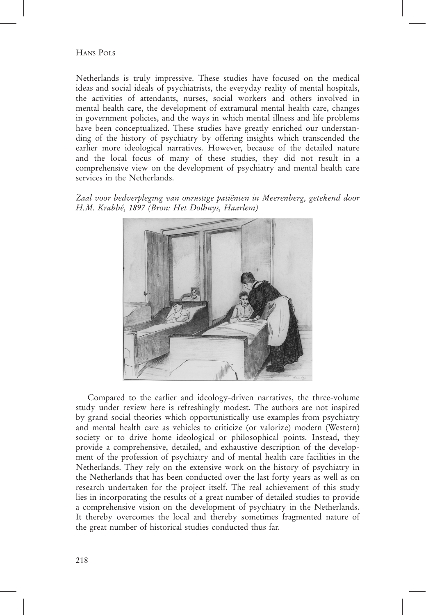Netherlands is truly impressive. These studies have focused on the medical ideas and social ideals of psychiatrists, the everyday reality of mental hospitals, the activities of attendants, nurses, social workers and others involved in mental health care, the development of extramural mental health care, changes in government policies, and the ways in which mental illness and life problems have been conceptualized. These studies have greatly enriched our understanding of the history of psychiatry by offering insights which transcended the earlier more ideological narratives. However, because of the detailed nature and the local focus of many of these studies, they did not result in a comprehensive view on the development of psychiatry and mental health care services in the Netherlands.

Zaal voor bedverpleging van onrustige patiënten in Meerenberg, getekend door H.M. Krabbé, 1897 (Bron: Het Dolhuys, Haarlem)



Compared to the earlier and ideology-driven narratives, the three-volume study under review here is refreshingly modest. The authors are not inspired by grand social theories which opportunistically use examples from psychiatry and mental health care as vehicles to criticize (or valorize) modern (Western) society or to drive home ideological or philosophical points. Instead, they provide a comprehensive, detailed, and exhaustive description of the development of the profession of psychiatry and of mental health care facilities in the Netherlands. They rely on the extensive work on the history of psychiatry in the Netherlands that has been conducted over the last forty years as well as on research undertaken for the project itself. The real achievement of this study lies in incorporating the results of a great number of detailed studies to provide a comprehensive vision on the development of psychiatry in the Netherlands. It thereby overcomes the local and thereby sometimes fragmented nature of the great number of historical studies conducted thus far.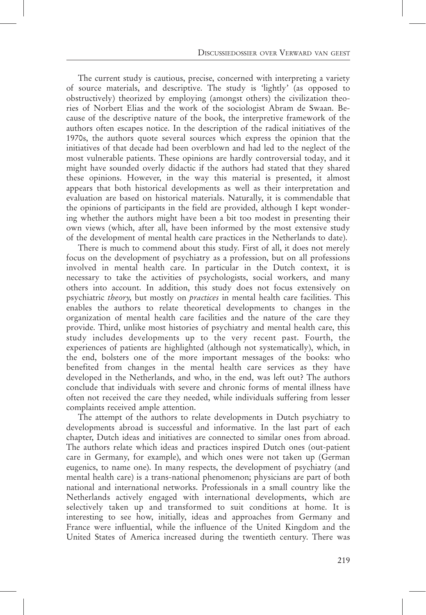The current study is cautious, precise, concerned with interpreting a variety of source materials, and descriptive. The study is 'lightly' (as opposed to obstructively) theorized by employing (amongst others) the civilization theories of Norbert Elias and the work of the sociologist Abram de Swaan. Because of the descriptive nature of the book, the interpretive framework of the authors often escapes notice. In the description of the radical initiatives of the 1970s, the authors quote several sources which express the opinion that the initiatives of that decade had been overblown and had led to the neglect of the most vulnerable patients. These opinions are hardly controversial today, and it might have sounded overly didactic if the authors had stated that they shared these opinions. However, in the way this material is presented, it almost appears that both historical developments as well as their interpretation and evaluation are based on historical materials. Naturally, it is commendable that the opinions of participants in the field are provided, although I kept wondering whether the authors might have been a bit too modest in presenting their own views (which, after all, have been informed by the most extensive study of the development of mental health care practices in the Netherlands to date).

There is much to commend about this study. First of all, it does not merely focus on the development of psychiatry as a profession, but on all professions involved in mental health care. In particular in the Dutch context, it is necessary to take the activities of psychologists, social workers, and many others into account. In addition, this study does not focus extensively on psychiatric theory, but mostly on practices in mental health care facilities. This enables the authors to relate theoretical developments to changes in the organization of mental health care facilities and the nature of the care they provide. Third, unlike most histories of psychiatry and mental health care, this study includes developments up to the very recent past. Fourth, the experiences of patients are highlighted (although not systematically), which, in the end, bolsters one of the more important messages of the books: who benefited from changes in the mental health care services as they have developed in the Netherlands, and who, in the end, was left out? The authors conclude that individuals with severe and chronic forms of mental illness have often not received the care they needed, while individuals suffering from lesser complaints received ample attention.

The attempt of the authors to relate developments in Dutch psychiatry to developments abroad is successful and informative. In the last part of each chapter, Dutch ideas and initiatives are connected to similar ones from abroad. The authors relate which ideas and practices inspired Dutch ones (out-patient care in Germany, for example), and which ones were not taken up (German eugenics, to name one). In many respects, the development of psychiatry (and mental health care) is a trans-national phenomenon; physicians are part of both national and international networks. Professionals in a small country like the Netherlands actively engaged with international developments, which are selectively taken up and transformed to suit conditions at home. It is interesting to see how, initially, ideas and approaches from Germany and France were influential, while the influence of the United Kingdom and the United States of America increased during the twentieth century. There was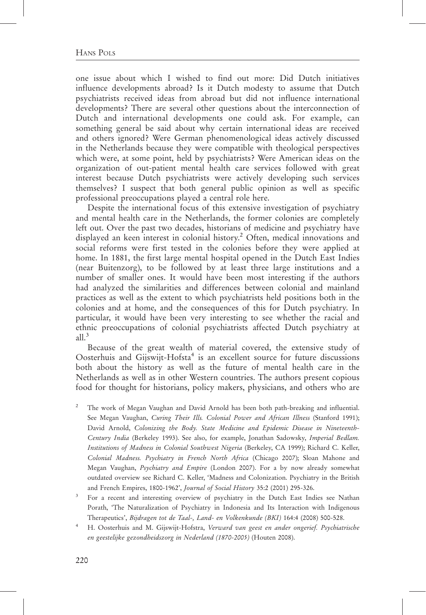one issue about which I wished to find out more: Did Dutch initiatives influence developments abroad? Is it Dutch modesty to assume that Dutch psychiatrists received ideas from abroad but did not influence international developments? There are several other questions about the interconnection of Dutch and international developments one could ask. For example, can something general be said about why certain international ideas are received and others ignored? Were German phenomenological ideas actively discussed in the Netherlands because they were compatible with theological perspectives which were, at some point, held by psychiatrists? Were American ideas on the organization of out-patient mental health care services followed with great interest because Dutch psychiatrists were actively developing such services themselves? I suspect that both general public opinion as well as specific professional preoccupations played a central role here.

Despite the international focus of this extensive investigation of psychiatry and mental health care in the Netherlands, the former colonies are completely left out. Over the past two decades, historians of medicine and psychiatry have displayed an keen interest in colonial history.<sup>2</sup> Often, medical innovations and social reforms were first tested in the colonies before they were applied at home. In 1881, the first large mental hospital opened in the Dutch East Indies (near Buitenzorg), to be followed by at least three large institutions and a number of smaller ones. It would have been most interesting if the authors had analyzed the similarities and differences between colonial and mainland practices as well as the extent to which psychiatrists held positions both in the colonies and at home, and the consequences of this for Dutch psychiatry. In particular, it would have been very interesting to see whether the racial and ethnic preoccupations of colonial psychiatrists affected Dutch psychiatry at all. $3$ 

Because of the great wealth of material covered, the extensive study of Oosterhuis and Gijswijt-Hofsta<sup>4</sup> is an excellent source for future discussions both about the history as well as the future of mental health care in the Netherlands as well as in other Western countries. The authors present copious food for thought for historians, policy makers, physicians, and others who are

- <sup>2</sup> The work of Megan Vaughan and David Arnold has been both path-breaking and influential. See Megan Vaughan, Curing Their Ills. Colonial Power and African Illness (Stanford 1991); David Arnold, Colonizing the Body. State Medicine and Epidemic Disease in Nineteenth-Century India (Berkeley 1993). See also, for example, Jonathan Sadowsky, Imperial Bedlam. Institutions of Madness in Colonial Southwest Nigeria (Berkeley, CA 1999); Richard C. Keller, Colonial Madness. Psychiatry in French North Africa (Chicago 2007); Sloan Mahone and Megan Vaughan, Psychiatry and Empire (London 2007). For a by now already somewhat outdated overview see Richard C. Keller, 'Madness and Colonization. Psychiatry in the British and French Empires, 1800-1962', Journal of Social History 35:2 (2001) 295-326.
- <sup>3</sup> For a recent and interesting overview of psychiatry in the Dutch East Indies see Nathan Porath, 'The Naturalization of Psychiatry in Indonesia and Its Interaction with Indigenous Therapeutics', Bijdragen tot de Taal-, Land- en Volkenkunde (BKI) 164:4 (2008) 500-528.
- <sup>4</sup> H. Oosterhuis and M. Gijswijt-Hofstra, Verward van geest en ander ongerief. Psychiatrische en geestelijke gezondheidszorg in Nederland (1870-2005) (Houten 2008).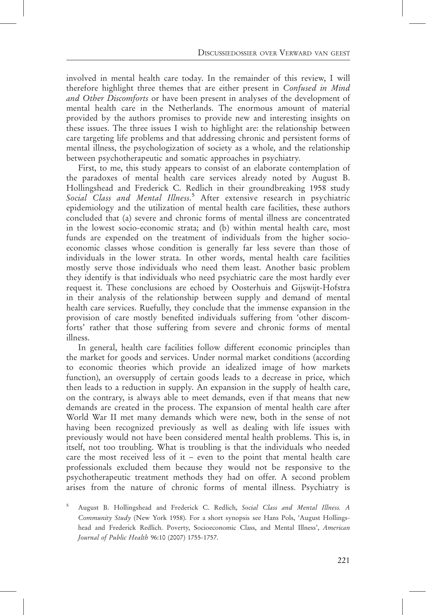involved in mental health care today. In the remainder of this review, I will therefore highlight three themes that are either present in Confused in Mind and Other Discomforts or have been present in analyses of the development of mental health care in the Netherlands. The enormous amount of material provided by the authors promises to provide new and interesting insights on these issues. The three issues I wish to highlight are: the relationship between care targeting life problems and that addressing chronic and persistent forms of mental illness, the psychologization of society as a whole, and the relationship between psychotherapeutic and somatic approaches in psychiatry.

First, to me, this study appears to consist of an elaborate contemplation of the paradoxes of mental health care services already noted by August B. Hollingshead and Frederick C. Redlich in their groundbreaking 1958 study Social Class and Mental Illness.<sup>5</sup> After extensive research in psychiatric epidemiology and the utilization of mental health care facilities, these authors concluded that (a) severe and chronic forms of mental illness are concentrated in the lowest socio-economic strata; and (b) within mental health care, most funds are expended on the treatment of individuals from the higher socioeconomic classes whose condition is generally far less severe than those of individuals in the lower strata. In other words, mental health care facilities mostly serve those individuals who need them least. Another basic problem they identify is that individuals who need psychiatric care the most hardly ever request it. These conclusions are echoed by Oosterhuis and Gijswijt-Hofstra in their analysis of the relationship between supply and demand of mental health care services. Ruefully, they conclude that the immense expansion in the provision of care mostly benefited individuals suffering from 'other discomforts' rather that those suffering from severe and chronic forms of mental illness.

In general, health care facilities follow different economic principles than the market for goods and services. Under normal market conditions (according to economic theories which provide an idealized image of how markets function), an oversupply of certain goods leads to a decrease in price, which then leads to a reduction in supply. An expansion in the supply of health care, on the contrary, is always able to meet demands, even if that means that new demands are created in the process. The expansion of mental health care after World War II met many demands which were new, both in the sense of not having been recognized previously as well as dealing with life issues with previously would not have been considered mental health problems. This is, in itself, not too troubling. What is troubling is that the individuals who needed care the most received less of it – even to the point that mental health care professionals excluded them because they would not be responsive to the psychotherapeutic treatment methods they had on offer. A second problem arises from the nature of chronic forms of mental illness. Psychiatry is

August B. Hollingshead and Frederick C. Redlich, Social Class and Mental Illness. A Community Study (New York 1958). For a short synopsis see Hans Pols, 'August Hollingshead and Frederick Redlich. Poverty, Socioeconomic Class, and Mental Illness', American Journal of Public Health 96:10 (2007) 1755-1757.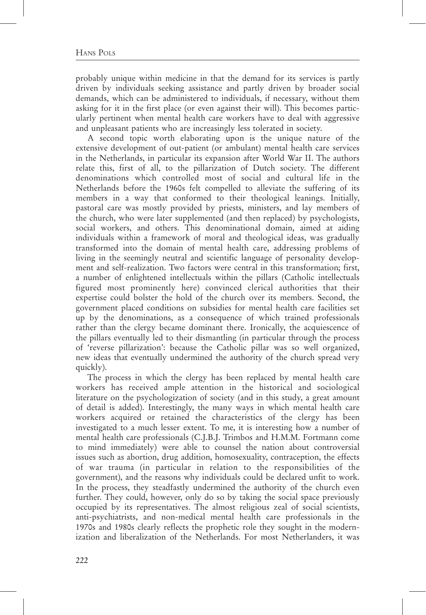### HANS POLS

probably unique within medicine in that the demand for its services is partly driven by individuals seeking assistance and partly driven by broader social demands, which can be administered to individuals, if necessary, without them asking for it in the first place (or even against their will). This becomes particularly pertinent when mental health care workers have to deal with aggressive and unpleasant patients who are increasingly less tolerated in society.

A second topic worth elaborating upon is the unique nature of the extensive development of out-patient (or ambulant) mental health care services in the Netherlands, in particular its expansion after World War II. The authors relate this, first of all, to the pillarization of Dutch society. The different denominations which controlled most of social and cultural life in the Netherlands before the 1960s felt compelled to alleviate the suffering of its members in a way that conformed to their theological leanings. Initially, pastoral care was mostly provided by priests, ministers, and lay members of the church, who were later supplemented (and then replaced) by psychologists, social workers, and others. This denominational domain, aimed at aiding individuals within a framework of moral and theological ideas, was gradually transformed into the domain of mental health care, addressing problems of living in the seemingly neutral and scientific language of personality development and self-realization. Two factors were central in this transformation; first, a number of enlightened intellectuals within the pillars (Catholic intellectuals figured most prominently here) convinced clerical authorities that their expertise could bolster the hold of the church over its members. Second, the government placed conditions on subsidies for mental health care facilities set up by the denominations, as a consequence of which trained professionals rather than the clergy became dominant there. Ironically, the acquiescence of the pillars eventually led to their dismantling (in particular through the process of 'reverse pillarization': because the Catholic pillar was so well organized, new ideas that eventually undermined the authority of the church spread very quickly).

The process in which the clergy has been replaced by mental health care workers has received ample attention in the historical and sociological literature on the psychologization of society (and in this study, a great amount of detail is added). Interestingly, the many ways in which mental health care workers acquired or retained the characteristics of the clergy has been investigated to a much lesser extent. To me, it is interesting how a number of mental health care professionals (C.J.B.J. Trimbos and H.M.M. Fortmann come to mind immediately) were able to counsel the nation about controversial issues such as abortion, drug addition, homosexuality, contraception, the effects of war trauma (in particular in relation to the responsibilities of the government), and the reasons why individuals could be declared unfit to work. In the process, they steadfastly undermined the authority of the church even further. They could, however, only do so by taking the social space previously occupied by its representatives. The almost religious zeal of social scientists, anti-psychiatrists, and non-medical mental health care professionals in the 1970s and 1980s clearly reflects the prophetic role they sought in the modernization and liberalization of the Netherlands. For most Netherlanders, it was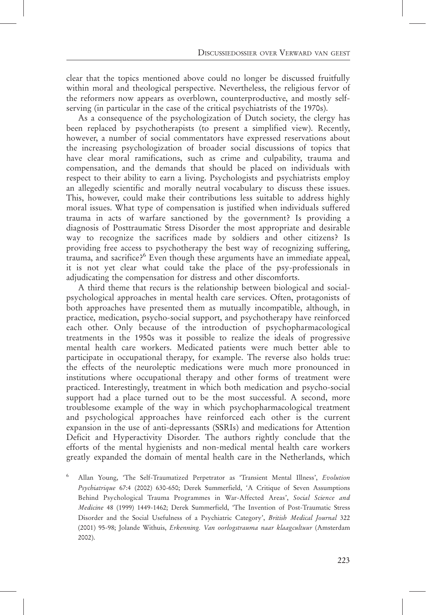clear that the topics mentioned above could no longer be discussed fruitfully within moral and theological perspective. Nevertheless, the religious fervor of the reformers now appears as overblown, counterproductive, and mostly selfserving (in particular in the case of the critical psychiatrists of the 1970s).

As a consequence of the psychologization of Dutch society, the clergy has been replaced by psychotherapists (to present a simplified view). Recently, however, a number of social commentators have expressed reservations about the increasing psychologization of broader social discussions of topics that have clear moral ramifications, such as crime and culpability, trauma and compensation, and the demands that should be placed on individuals with respect to their ability to earn a living. Psychologists and psychiatrists employ an allegedly scientific and morally neutral vocabulary to discuss these issues. This, however, could make their contributions less suitable to address highly moral issues. What type of compensation is justified when individuals suffered trauma in acts of warfare sanctioned by the government? Is providing a diagnosis of Posttraumatic Stress Disorder the most appropriate and desirable way to recognize the sacrifices made by soldiers and other citizens? Is providing free access to psychotherapy the best way of recognizing suffering, trauma, and sacrifice?<sup>6</sup> Even though these arguments have an immediate appeal, it is not yet clear what could take the place of the psy-professionals in adjudicating the compensation for distress and other discomforts.

A third theme that recurs is the relationship between biological and socialpsychological approaches in mental health care services. Often, protagonists of both approaches have presented them as mutually incompatible, although, in practice, medication, psycho-social support, and psychotherapy have reinforced each other. Only because of the introduction of psychopharmacological treatments in the 1950s was it possible to realize the ideals of progressive mental health care workers. Medicated patients were much better able to participate in occupational therapy, for example. The reverse also holds true: the effects of the neuroleptic medications were much more pronounced in institutions where occupational therapy and other forms of treatment were practiced. Interestingly, treatment in which both medication and psycho-social support had a place turned out to be the most successful. A second, more troublesome example of the way in which psychopharmacological treatment and psychological approaches have reinforced each other is the current expansion in the use of anti-depressants (SSRIs) and medications for Attention Deficit and Hyperactivity Disorder. The authors rightly conclude that the efforts of the mental hygienists and non-medical mental health care workers greatly expanded the domain of mental health care in the Netherlands, which

<sup>6</sup> Allan Young, 'The Self-Traumatized Perpetrator as 'Transient Mental Illness', Evolution Psychiatrique 67:4 (2002) 630-650; Derek Summerfield, 'A Critique of Seven Assumptions Behind Psychological Trauma Programmes in War-Affected Areas', Social Science and Medicine 48 (1999) 1449-1462; Derek Summerfield, 'The Invention of Post-Traumatic Stress Disorder and the Social Usefulness of a Psychiatric Category', British Medical Journal 322 (2001) 95-98; Jolande Withuis, Erkenning. Van oorlogstrauma naar klaagcultuur (Amsterdam 2002).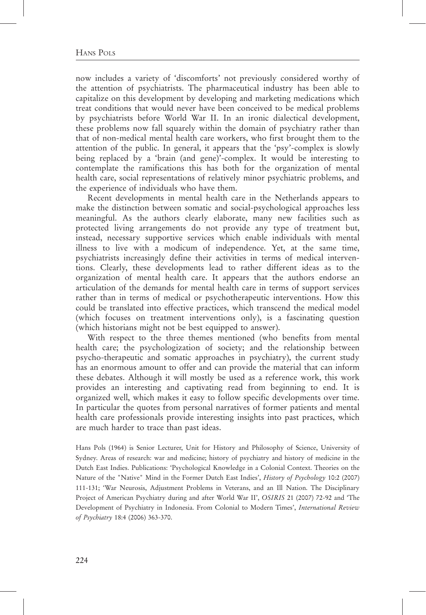now includes a variety of 'discomforts' not previously considered worthy of the attention of psychiatrists. The pharmaceutical industry has been able to capitalize on this development by developing and marketing medications which treat conditions that would never have been conceived to be medical problems by psychiatrists before World War II. In an ironic dialectical development, these problems now fall squarely within the domain of psychiatry rather than that of non-medical mental health care workers, who first brought them to the attention of the public. In general, it appears that the 'psy'-complex is slowly being replaced by a 'brain (and gene)'-complex. It would be interesting to contemplate the ramifications this has both for the organization of mental health care, social representations of relatively minor psychiatric problems, and the experience of individuals who have them.

Recent developments in mental health care in the Netherlands appears to make the distinction between somatic and social-psychological approaches less meaningful. As the authors clearly elaborate, many new facilities such as protected living arrangements do not provide any type of treatment but, instead, necessary supportive services which enable individuals with mental illness to live with a modicum of independence. Yet, at the same time, psychiatrists increasingly define their activities in terms of medical interventions. Clearly, these developments lead to rather different ideas as to the organization of mental health care. It appears that the authors endorse an articulation of the demands for mental health care in terms of support services rather than in terms of medical or psychotherapeutic interventions. How this could be translated into effective practices, which transcend the medical model (which focuses on treatment interventions only), is a fascinating question (which historians might not be best equipped to answer).

With respect to the three themes mentioned (who benefits from mental health care; the psychologization of society; and the relationship between psycho-therapeutic and somatic approaches in psychiatry), the current study has an enormous amount to offer and can provide the material that can inform these debates. Although it will mostly be used as a reference work, this work provides an interesting and captivating read from beginning to end. It is organized well, which makes it easy to follow specific developments over time. In particular the quotes from personal narratives of former patients and mental health care professionals provide interesting insights into past practices, which are much harder to trace than past ideas.

Hans Pols (1964) is Senior Lecturer, Unit for History and Philosophy of Science, University of Sydney. Areas of research: war and medicine; history of psychiatry and history of medicine in the Dutch East Indies. Publications: 'Psychological Knowledge in a Colonial Context. Theories on the Nature of the "Native" Mind in the Former Dutch East Indies', History of Psychology 10:2 (2007) 111-131; 'War Neurosis, Adjustment Problems in Veterans, and an Ill Nation. The Disciplinary Project of American Psychiatry during and after World War II', OSIRIS 21 (2007) 72-92 and 'The Development of Psychiatry in Indonesia. From Colonial to Modern Times', International Review of Psychiatry 18:4 (2006) 363-370.